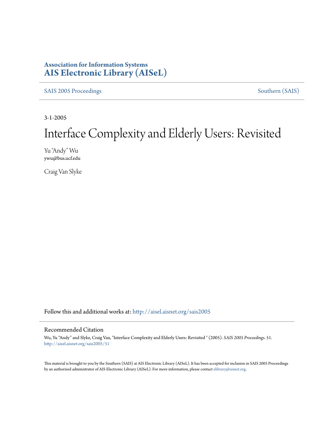## **Association for Information Systems [AIS Electronic Library \(AISeL\)](http://aisel.aisnet.org?utm_source=aisel.aisnet.org%2Fsais2005%2F51&utm_medium=PDF&utm_campaign=PDFCoverPages)**

[SAIS 2005 Proceedings](http://aisel.aisnet.org/sais2005?utm_source=aisel.aisnet.org%2Fsais2005%2F51&utm_medium=PDF&utm_campaign=PDFCoverPages) [Southern \(SAIS\)](http://aisel.aisnet.org/sais?utm_source=aisel.aisnet.org%2Fsais2005%2F51&utm_medium=PDF&utm_campaign=PDFCoverPages)

3-1-2005

# Interface Complexity and Elderly Users: Revisited

Yu "Andy" Wu ywu@bus.ucf.edu

Craig Van Slyke

Follow this and additional works at: [http://aisel.aisnet.org/sais2005](http://aisel.aisnet.org/sais2005?utm_source=aisel.aisnet.org%2Fsais2005%2F51&utm_medium=PDF&utm_campaign=PDFCoverPages)

#### Recommended Citation

Wu, Yu "Andy" and Slyke, Craig Van, "Interface Complexity and Elderly Users: Revisited " (2005). *SAIS 2005 Proceedings*. 51. [http://aisel.aisnet.org/sais2005/51](http://aisel.aisnet.org/sais2005/51?utm_source=aisel.aisnet.org%2Fsais2005%2F51&utm_medium=PDF&utm_campaign=PDFCoverPages)

This material is brought to you by the Southern (SAIS) at AIS Electronic Library (AISeL). It has been accepted for inclusion in SAIS 2005 Proceedings by an authorized administrator of AIS Electronic Library (AISeL). For more information, please contact [elibrary@aisnet.org](mailto:elibrary@aisnet.org%3E).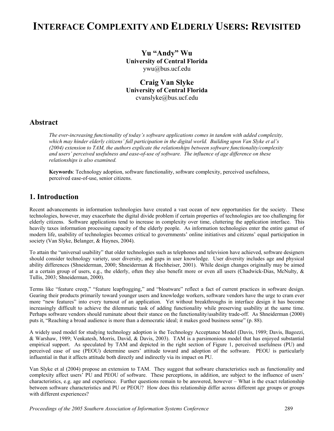## **INTERFACE COMPLEXITY AND ELDERLY USERS: REVISITED**

**Yu "Andy" Wu University of Central Florida**  ywu@bus.ucf.edu

**Craig Van Slyke University of Central Florida**  cvanslyke@bus.ucf.edu

#### **Abstract**

*The ever-increasing functionality of today's software applications comes in tandem with added complexity, which may hinder elderly citizens' full participation in the digital world. Building upon Van Slyke et al's (2004) extension to TAM, the authors explicate the relationships between software functionality/complexity and users' perceived usefulness and ease-of-use of software. The influence of age difference on these relationships is also examined.* 

**Keywords**: Technology adoption, software functionality, software complexity, perceived usefulness, perceived ease-of-use, senior citizens.

### **1. Introduction**

Recent advancements in information technologies have created a vast ocean of new opportunities for the society. These technologies, however, may exacerbate the digital divide problem if certain properties of technologies are too challenging for elderly citizens. Software applications tend to increase in complexity over time, cluttering the application interface. This heavily taxes information processing capacity of the elderly people. As information technologies enter the entire gamut of modern life, usability of technologies becomes critical to governments' online initiatives and citizens' equal participation in society (Van Slyke, Belanger, & Haynes, 2004).

To attain the "universal usability" that older technologies such as telephones and television have achieved, software designers should consider technology variety, user diversity, and gaps in user knowledge. User diversity includes age and physical ability differences (Shneiderman, 2000; Shneiderman & Hochheiser, 2001). While design changes originally may be aimed at a certain group of users, e.g., the elderly, often they also benefit more or even all users (Chadwick-Dias, McNulty, & Tullis, 2003; Shneiderman, 2000).

Terms like "feature creep," "feature leapfrogging," and "bloatware" reflect a fact of current practices in software design. Gearing their products primarily toward younger users and knowledge workers, software vendors have the urge to cram ever more "new features" into every turnout of an application. Yet without breakthroughs in interface design it has become increasingly difficult to achieve the dilemmatic task of adding functionality while preserving usability at the same time. Perhaps software vendors should ruminate about their stance on the functionality/usability trade-off. As Shneiderman (2000) puts it, "Reaching a broad audience is more than a democratic ideal; it makes good business sense" (p. 88).

A widely used model for studying technology adoption is the Technology Acceptance Model (Davis, 1989; Davis, Bagozzi, & Warshaw, 1989; Venkatesh, Morris, David, & Davis, 2003). TAM is a parsimonious model that has enjoyed substantial empirical support. As speculated by TAM and depicted in the right section of Figure 1, perceived usefulness (PU) and perceived ease of use (PEOU) determine users' attitude toward and adoption of the software. PEOU is particularly influential in that it affects attitude both directly and indirectly via its impact on PU.

Van Slyke et al (2004) propose an extension to TAM. They suggest that software characteristics such as functionality and complexity affect users' PU and PEOU of software. These perceptions, in addition, are subject to the influence of users' characteristics, e.g. age and experience. Further questions remain to be answered, however – What is the exact relationship between software characteristics and PU or PEOU? How does this relationship differ across different age groups or groups with different experiences?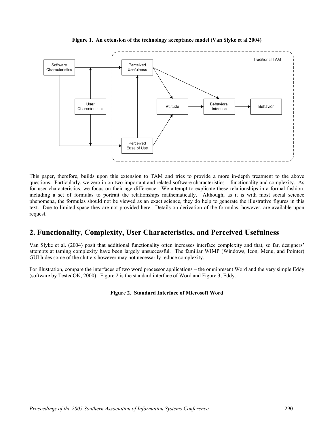

**Figure 1. An extension of the technology acceptance model (Van Slyke et al 2004)** 

This paper, therefore, builds upon this extension to TAM and tries to provide a more in-depth treatment to the above questions. Particularly, we zero in on two important and related software characteristics – functionality and complexity. As for user characteristics, we focus on their age difference. We attempt to explicate these relationships in a formal fashion, including a set of formulas to portrait the relationships mathematically. Although, as it is with most social science phenomena, the formulas should not be viewed as an exact science, they do help to generate the illustrative figures in this text. Due to limited space they are not provided here. Details on derivation of the formulas, however, are available upon request.

### **2. Functionality, Complexity, User Characteristics, and Perceived Usefulness**

Van Slyke et al. (2004) posit that additional functionality often increases interface complexity and that, so far, designers' attempts at taming complexity have been largely unsuccessful. The familiar WIMP (Windows, Icon, Menu, and Pointer) GUI hides some of the clutters however may not necessarily reduce complexity.

For illustration, compare the interfaces of two word processor applications – the omnipresent Word and the very simple Eddy (software by TestedOK, 2000). Figure 2 is the standard interface of Word and Figure 3, Eddy.

#### **Figure 2. Standard Interface of Microsoft Word**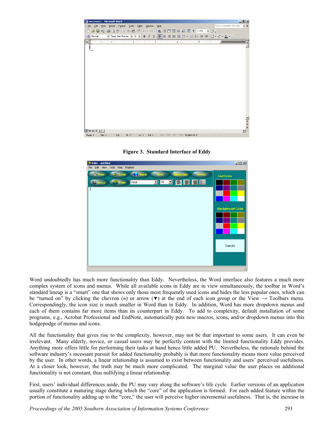

**Figure 3. Standard Interface of Eddy** 



Word undoubtedly has much more functionality than Eddy. Nevertheless, the Word interface also features a much more complex system of icons and menus. While all available icons in Eddy are in view simultaneously, the toolbar in Word's standard lineup is a "smart" one that shows only those most frequently used icons and hides the less popular ones, which can be "turned on" by clicking the chevron (**»**) or arrow (▼) at the end of each icon group or the View → Toolbars menu. Correspondingly, the icon size is much smaller in Word than in Eddy. In addition, Word has more dropdown menus and each of them contains far more items than its counterpart in Eddy. To add to complexity, default installation of some programs, e.g., Acrobat Professional and EndNote, automatically puts new macros, icons, and/or dropdown menus into this hodgepodge of menus and icons.

All the functionality that gives rise to the complexity, however, may not be that important to some users. It can even be irrelevant. Many elderly, novice, or casual users may be perfectly content with the limited functionality Eddy provides. Anything more offers little for performing their tasks at hand hence little added PU. Nevertheless, the rationale behind the software industry's incessant pursuit for added functionality probably is that more functionality means more value perceived by the user. In other words, a linear relationship is assumed to exist between functionality and users' perceived usefulness. At a closer look, however, the truth may be much more complicated. The marginal value the user places on additional functionality is not constant, thus nullifying a linear relationship.

First, users' individual differences aside, the PU may vary along the software's life cycle. Earlier versions of an application usually constitute a maturing stage during which the "core" of the application is formed. For each added feature within the portion of functionality adding up to the "core," the user will perceive higher incremental usefulness. That is, the increase in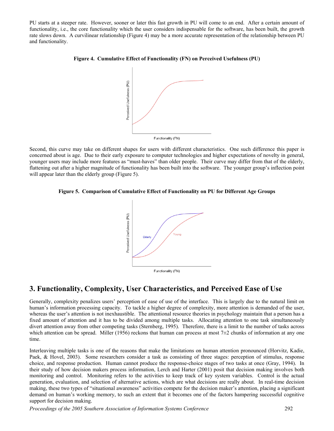PU starts at a steeper rate. However, sooner or later this fast growth in PU will come to an end. After a certain amount of functionality, i.e., the core functionality which the user considers indispensable for the software, has been built, the growth rate slows down. A curvilinear relationship (Figure 4) may be a more accurate representation of the relationship between PU and functionality.





Second, this curve may take on different shapes for users with different characteristics. One such difference this paper is concerned about is age. Due to their early exposure to computer technologies and higher expectations of novelty in general, younger users may include more features as "must-haves" than older people. Their curve may differ from that of the elderly, flattening out after a higher magnitude of functionality has been built into the software. The younger group's inflection point will appear later than the elderly group (Figure 5).





## **3. Functionality, Complexity, User Characteristics, and Perceived Ease of Use**

Generally, complexity penalizes users' perception of ease of use of the interface. This is largely due to the natural limit on human's information processing capacity. To tackle a higher degree of complexity, more attention is demanded of the user, whereas the user's attention is not inexhaustible. The attentional resource theories in psychology maintain that a person has a fixed amount of attention and it has to be divided among multiple tasks. Allocating attention to one task simultaneously divert attention away from other competing tasks (Sternberg, 1995). Therefore, there is a limit to the number of tasks across which attention can be spread. Miller (1956) reckons that human can process at most  $7\pm2$  chunks of information at any one time.

Interleaving multiple tasks is one of the reasons that make the limitations on human attention pronounced (Horvitz, Kadie, Paek, & Hovel, 2003). Some researchers consider a task as consisting of three stages: perception of stimulus, response choice, and response production. Human cannot produce the response-choice stages of two tasks at once (Gray, 1994). In their study of how decision makers process information, Lerch and Harter (2001) posit that decision making involves both monitoring and control. Monitoring refers to the activities to keep track of key system variables. Control is the actual generation, evaluation, and selection of alternative actions, which are what decisions are really about. In real-time decision making, these two types of "situational awareness" activities compete for the decision maker's attention, placing a significant demand on human's working memory, to such an extent that it becomes one of the factors hampering successful cognitive support for decision making.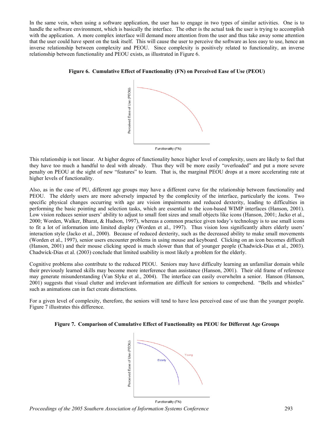In the same vein, when using a software application, the user has to engage in two types of similar activities. One is to handle the software environment, which is basically the interface. The other is the actual task the user is trying to accomplish with the application. A more complex interface will demand more attention from the user and thus take away some attention that the user could have spent on the task itself. This will cause the user to perceive the software as less easy to use, hence an inverse relationship between complexity and PEOU. Since complexity is positively related to functionality, an inverse relationship between functionality and PEOU exists, as illustrated in Figure 6.





This relationship is not linear. At higher degree of functionality hence higher level of complexity, users are likely to feel that they have too much a handful to deal with already. Thus they will be more easily "overloaded" and put a more severe penalty on PEOU at the sight of new "features" to learn. That is, the marginal PEOU drops at a more accelerating rate at higher levels of functionality.

Also, as in the case of PU, different age groups may have a different curve for the relationship between functionality and PEOU. The elderly users are more adversely impacted by the complexity of the interface, particularly the icons. Two specific physical changes occurring with age are vision impairments and reduced dexterity, leading to difficulties in performing the basic pointing and selection tasks, which are essential to the icon-based WIMP interfaces (Hanson, 2001). Low vision reduces senior users' ability to adjust to small font sizes and small objects like icons (Hanson, 2001; Jacko et al., 2000; Worden, Walker, Bharat, & Hudson, 1997), whereas a common practice given today's technology is to use small icons to fit a lot of information into limited display (Worden et al., 1997). Thus vision loss significantly alters elderly users' interaction style (Jacko et al., 2000). Because of reduced dexterity, such as the decreased ability to make small movements (Worden et al., 1997), senior users encounter problems in using mouse and keyboard. Clicking on an icon becomes difficult (Hanson, 2001) and their mouse clicking speed is much slower than that of younger people (Chadwick-Dias et al., 2003). Chadwick-Dias et al. (2003) conclude that limited usability is most likely a problem for the elderly.

Cognitive problems also contribute to the reduced PEOU. Seniors may have difficulty learning an unfamiliar domain while their previously learned skills may become more interference than assistance (Hanson, 2001). Their old frame of reference may generate misunderstanding (Van Slyke et al., 2004). The interface can easily overwhelm a senior. Hanson (Hanson, 2001) suggests that visual clutter and irrelevant information are difficult for seniors to comprehend. "Bells and whistles" such as animations can in fact create distractions.

For a given level of complexity, therefore, the seniors will tend to have less perceived ease of use than the younger people. Figure 7 illustrates this difference.

#### **Figure 7. Comparison of Cumulative Effect of Functionality on PEOU for Different Age Groups**



Functionality (FN) *Proceedings of the 2005 Southern Association of Information Systems Conference* 293